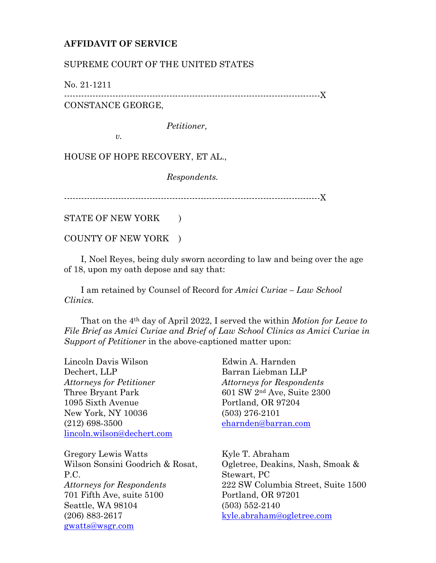## **AFFIDAVIT OF SERVICE**

## SUPREME COURT OF THE UNITED STATES

No. 21-1211

------------------------------------------------------------------------------------------X CONSTANCE GEORGE,

*Petitioner,*

*v.*

HOUSE OF HOPE RECOVERY, ET AL.,

*Respondents.*

------------------------------------------------------------------------------------------X

STATE OF NEW YORK )

COUNTY OF NEW YORK )

 I, Noel Reyes, being duly sworn according to law and being over the age of 18, upon my oath depose and say that:

 I am retained by Counsel of Record for *Amici Curiae – Law School Clinics.*

 That on the 4th day of April 2022, I served the within *Motion for Leave to File Brief as Amici Curiae and Brief of Law School Clinics as Amici Curiae in Support of Petitioner* in the above-captioned matter upon:

Lincoln Davis Wilson Dechert, LLP *Attorneys for Petitioner* Three Bryant Park 1095 Sixth Avenue New York, NY 10036 (212) 698-3500 [lincoln.wilson@dechert.com](mailto:lincoln.wilson@dechert.com)

Gregory Lewis Watts Wilson Sonsini Goodrich & Rosat, P.C. *Attorneys for Respondents* 701 Fifth Ave, suite 5100 Seattle, WA 98104 (206) 883-2617 [gwatts@wsgr.com](mailto:gwatts@wsgr.com)

Edwin A. Harnden Barran Liebman LLP *Attorneys for Respondents* 601 SW 2nd Ave, Suite 2300 Portland, OR 97204 (503) 276-2101 [eharnden@barran.com](mailto:eharnden@barran.com)

Kyle T. Abraham Ogletree, Deakins, Nash, Smoak & Stewart, PC 222 SW Columbia Street, Suite 1500 Portland, OR 97201 (503) 552-2140 [kyle.abraham@ogletree.com](mailto:kyle.abraham@ogletree.com)